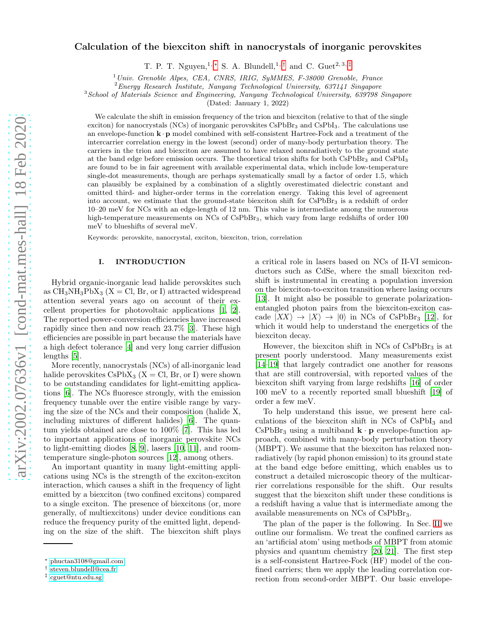# Calculation of the biexciton shift in nanocrystals of inorganic perovskites

T. P. T. Nguyen,<sup>1,\*</sup> S. A. Blundell,<sup>1,[†](#page-0-1)</sup> and C. Guet<sup>2,3,[‡](#page-0-2)</sup>

<sup>1</sup>*Univ. Grenoble Alpes, CEA, CNRS, IRIG, SyMMES, F-38000 Grenoble, France*

<sup>2</sup>*Energy Research Institute, Nanyang Technological University, 637141 Singapore*

<sup>3</sup>*School of Materials Science and Engineering, Nanyang Technological University, 639798 Singapore*

(Dated: January 1, 2022)

We calculate the shift in emission frequency of the trion and biexciton (relative to that of the single exciton) for nanocrystals (NCs) of inorganic perovskites  $CsPbBr<sub>3</sub>$  and  $CsPbI<sub>3</sub>$ . The calculations use an envelope-function  $\mathbf{k} \cdot \mathbf{p}$  model combined with self-consistent Hartree-Fock and a treatment of the intercarrier correlation energy in the lowest (second) order of many-body perturbation theory. The carriers in the trion and biexciton are assumed to have relaxed nonradiatively to the ground state at the band edge before emission occurs. The theoretical trion shifts for both CsPbBr<sup>3</sup> and CsPbI<sup>3</sup> are found to be in fair agreement with available experimental data, which include low-temperature single-dot measurements, though are perhaps systematically small by a factor of order 1.5, which can plausibly be explained by a combination of a slightly overestimated dielectric constant and omitted third- and higher-order terms in the correlation energy. Taking this level of agreement into account, we estimate that the ground-state biexciton shift for  $CsPbBr<sub>3</sub>$  is a redshift of order 10–20 meV for NCs with an edge-length of 12 nm. This value is intermediate among the numerous high-temperature measurements on NCs of CsPbBr<sub>3</sub>, which vary from large redshifts of order 100 meV to blueshifts of several meV.

Keywords: perovskite, nanocrystal, exciton, biexciton, trion, correlation

## I. INTRODUCTION

Hybrid organic-inorganic lead halide perovskites such as  $CH_3NH_3PbX_3$  (X = Cl, Br, or I) attracted widespread attention several years ago on account of their excellent properties for photovoltaic applications [\[1,](#page-9-0) [2\]](#page-9-1). The reported power-conversion efficiencies have increased rapidly since then and now reach 23.7% [\[3](#page-9-2)]. These high efficiencies are possible in part because the materials have a high defect tolerance [\[4\]](#page-9-3) and very long carrier diffusion lengths [\[5](#page-9-4)].

More recently, nanocrystals (NCs) of all-inorganic lead halide perovskites  $CsPbX_3$  (X = Cl, Br, or I) were shown to be outstanding candidates for light-emitting applications [\[6\]](#page-9-5). The NCs fluoresce strongly, with the emission frequency tunable over the entire visible range by varying the size of the NCs and their composition (halide X, including mixtures of different halides) [\[6\]](#page-9-5). The quantum yields obtained are close to 100% [\[7\]](#page-9-6). This has led to important applications of inorganic perovskite NCs to light-emitting diodes [\[8,](#page-9-7) [9](#page-9-8)], lasers [\[10,](#page-9-9) [11\]](#page-9-10), and roomtemperature single-photon sources [\[12\]](#page-10-0), among others.

An important quantity in many light-emitting applications using NCs is the strength of the exciton-exciton interaction, which causes a shift in the frequency of light emitted by a biexciton (two confined excitons) compared to a single exciton. The presence of biexcitons (or, more generally, of multiexcitons) under device conditions can reduce the frequency purity of the emitted light, depending on the size of the shift. The biexciton shift plays

a critical role in lasers based on NCs of II-VI semiconductors such as CdSe, where the small biexciton redshift is instrumental in creating a population inversion on the biexciton-to-exciton transition where lasing occurs [\[13\]](#page-10-1). It might also be possible to generate polarizationentangled photon pairs from the biexciton-exciton cascade  $|XX\rangle \rightarrow |X\rangle \rightarrow |0\rangle$  in NCs of CsPbBr<sub>3</sub> [\[12\]](#page-10-0), for which it would help to understand the energetics of the biexciton decay.

However, the biexciton shift in  $NCs$  of  $CsPbBr<sub>3</sub>$  is at present poorly understood. Many measurements exist [\[14](#page-10-2)[–19\]](#page-10-3) that largely contradict one another for reasons that are still controversial, with reported values of the biexciton shift varying from large redshifts [\[16](#page-10-4)] of order 100 meV to a recently reported small blueshift [\[19\]](#page-10-3) of order a few meV.

To help understand this issue, we present here calculations of the biexciton shift in  $NCs$  of  $CsPbI<sub>3</sub>$  and  $CsPbBr<sub>3</sub>$  using a multiband  $\mathbf{k} \cdot \mathbf{p}$  envelope-function approach, combined with many-body perturbation theory (MBPT). We assume that the biexciton has relaxed nonradiatively (by rapid phonon emission) to its ground state at the band edge before emitting, which enables us to construct a detailed microscopic theory of the multicarrier correlations responsible for the shift. Our results suggest that the biexciton shift under these conditions is a redshift having a value that is intermediate among the available measurements on NCs of CsPbBr3.

The plan of the paper is the following. In Sec. [II](#page-1-0) we outline our formalism. We treat the confined carriers as an 'artificial atom' using methods of MBPT from atomic physics and quantum chemistry [\[20,](#page-10-5) [21](#page-10-6)]. The first step is a self-consistent Hartree-Fock (HF) model of the confined carriers; then we apply the leading correlation correction from second-order MBPT. Our basic envelope-

<span id="page-0-0"></span><sup>∗</sup> [phuctan3108@gmail.com](mailto:phuctan3108@gmail.com)

<span id="page-0-1"></span><sup>†</sup> [steven.blundell@cea.fr](mailto:steven.blundell@cea.fr)

<span id="page-0-2"></span><sup>‡</sup> [cguet@ntu.edu.sg](mailto:cguet@ntu.edu.sg)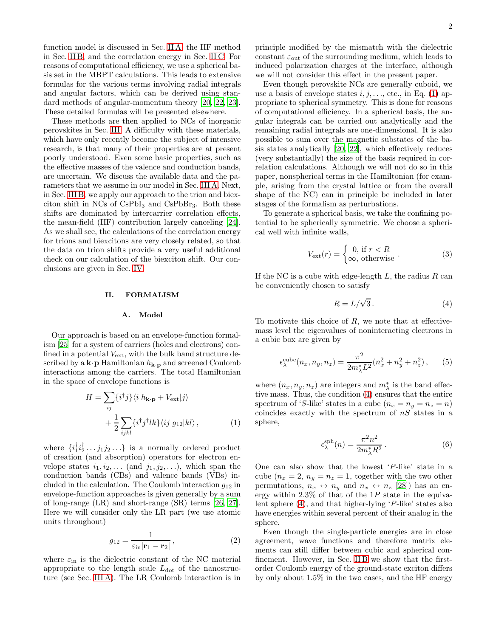function model is discussed in Sec. [II A,](#page-1-1) the HF method in Sec. [II B,](#page-2-0) and the correlation energy in Sec. [II C.](#page-3-0) For reasons of computational efficiency, we use a spherical basis set in the MBPT calculations. This leads to extensive formulas for the various terms involving radial integrals and angular factors, which can be derived using standard methods of angular-momentum theory [\[20](#page-10-5), [22,](#page-10-7) [23\]](#page-10-8). These detailed formulas will be presented elsewhere.

These methods are then applied to NCs of inorganic perovskites in Sec. [III.](#page-5-0) A difficulty with these materials, which have only recently become the subject of intensive research, is that many of their properties are at present poorly understood. Even some basic properties, such as the effective masses of the valence and conduction bands, are uncertain. We discuss the available data and the parameters that we assume in our model in Sec. [III A.](#page-5-1) Next, in Sec. [III B,](#page-6-0) we apply our approach to the trion and biexciton shift in  $NCs$  of  $CsPbI<sub>3</sub>$  and  $CsPbBr<sub>3</sub>$ . Both these shifts are dominated by intercarrier correlation effects, the mean-field (HF) contribution largely canceling [\[24\]](#page-10-9). As we shall see, the calculations of the correlation energy for trions and biexcitons are very closely related, so that the data on trion shifts provide a very useful additional check on our calculation of the biexciton shift. Our conclusions are given in Sec. [IV.](#page-9-11)

### <span id="page-1-0"></span>II. FORMALISM

### <span id="page-1-1"></span>A. Model

Our approach is based on an envelope-function formalism [\[25](#page-10-10)] for a system of carriers (holes and electrons) confined in a potential  $V_{\text{ext}}$ , with the bulk band structure described by a  $\mathbf{k} \cdot \mathbf{p}$  Hamiltonian  $h_{\mathbf{k} \cdot \mathbf{p}}$  and screened Coulomb interactions among the carriers. The total Hamiltonian in the space of envelope functions is

<span id="page-1-2"></span>
$$
H = \sum_{ij} \{i^{\dagger} j\} \langle i | h_{\mathbf{k} \cdot \mathbf{p}} + V_{\text{ext}} | j \rangle
$$
  
+ 
$$
\frac{1}{2} \sum_{ijkl} \{i^{\dagger} j^{\dagger} lk\} \langle ij | g_{12} | kl \rangle, \qquad (1)
$$

where  $\{i_1^{\dagger} i_2^{\dagger} \ldots j_1 j_2 \ldots\}$  is a normally ordered product of creation (and absorption) operators for electron envelope states  $i_1, i_2, \ldots$  (and  $j_1, j_2, \ldots$ ), which span the conduction bands (CBs) and valence bands (VBs) included in the calculation. The Coulomb interaction  $g_{12}$  in envelope-function approaches is given generally by a sum of long-range (LR) and short-range (SR) terms [\[26](#page-10-11), [27\]](#page-10-12). Here we will consider only the LR part (we use atomic units throughout)

<span id="page-1-6"></span>
$$
g_{12} = \frac{1}{\varepsilon_{\rm in} |\mathbf{r}_1 - \mathbf{r}_2|},\tag{2}
$$

where  $\varepsilon_{\rm in}$  is the dielectric constant of the NC material appropriate to the length scale  $L_{dot}$  of the nanostructure (see Sec. [III A\)](#page-5-1). The LR Coulomb interaction is in

principle modified by the mismatch with the dielectric constant  $\varepsilon_{\text{out}}$  of the surrounding medium, which leads to induced polarization charges at the interface, although we will not consider this effect in the present paper.

Even though perovskite NCs are generally cuboid, we use a basis of envelope states  $i, j, \ldots$ , etc., in Eq. [\(1\)](#page-1-2) appropriate to spherical symmetry. This is done for reasons of computational efficiency. In a spherical basis, the angular integrals can be carried out analytically and the remaining radial integrals are one-dimensional. It is also possible to sum over the magnetic substates of the basis states analytically [\[20,](#page-10-5) [22](#page-10-7)], which effectively reduces (very substantially) the size of the basis required in correlation calculations. Although we will not do so in this paper, nonspherical terms in the Hamiltonian (for example, arising from the crystal lattice or from the overall shape of the NC) can in principle be included in later stages of the formalism as perturbations.

To generate a spherical basis, we take the confining potential to be spherically symmetric. We choose a spherical well with infinite walls,

<span id="page-1-4"></span>
$$
V_{\text{ext}}(r) = \begin{cases} 0, \text{ if } r < R \\ \infty, \text{ otherwise} \end{cases} \tag{3}
$$

If the NC is a cube with edge-length  $L$ , the radius  $R$  can be conveniently chosen to satisfy

<span id="page-1-3"></span>
$$
R = L/\sqrt{3}.
$$
 (4)

To motivate this choice of  $R$ , we note that at effectivemass level the eigenvalues of noninteracting electrons in a cubic box are given by

<span id="page-1-7"></span>
$$
\epsilon_{\lambda}^{\text{cube}}(n_x, n_y, n_z) = \frac{\pi^2}{2m_{\lambda}^* L^2} (n_x^2 + n_y^2 + n_z^2), \quad (5)
$$

where  $(n_x, n_y, n_z)$  are integers and  $m^*_{\lambda}$  is the band effective mass. Thus, the condition [\(4\)](#page-1-3) ensures that the entire spectrum of 'S-like' states in a cube  $(n_x = n_y = n_z = n)$ coincides exactly with the spectrum of  $nS$  states in a sphere,

<span id="page-1-5"></span>
$$
\epsilon^{\text{sph}}_{\lambda}(n) = \frac{\pi^2 n^2}{2m_{\lambda}^* R^2} \,. \tag{6}
$$

One can also show that the lowest 'P-like' state in a cube  $(n_x = 2, n_y = n_z = 1,$  together with the two other permutations,  $n_x \leftrightarrow n_y$  and  $n_x \leftrightarrow n_z$  [\[28](#page-10-13)]) has an energy within  $2.3\%$  of that of the 1P state in the equivalent sphere [\(4\)](#page-1-3), and that higher-lying 'P-like' states also have energies within several percent of their analog in the sphere.

Even though the single-particle energies are in close agreement, wave functions and therefore matrix elements can still differ between cubic and spherical con-finement. However, in Sec. [II B](#page-2-0) we show that the firstorder Coulomb energy of the ground-state exciton differs by only about 1.5% in the two cases, and the HF energy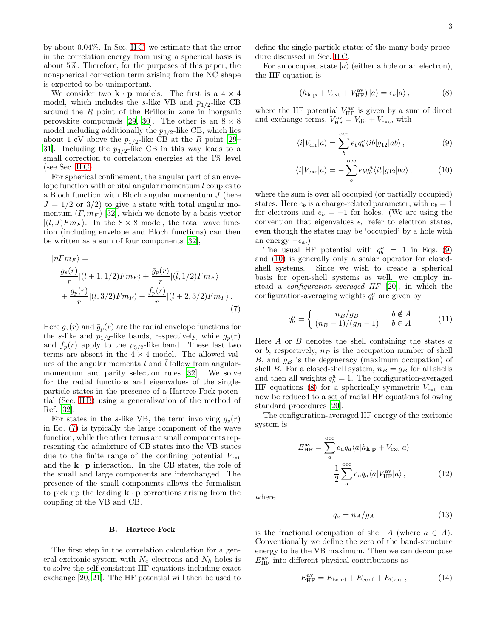by about 0.04%. In Sec. [II C,](#page-3-0) we estimate that the error in the correlation energy from using a spherical basis is about 5%. Therefore, for the purposes of this paper, the nonspherical correction term arising from the NC shape is expected to be unimportant.

We consider two  $\mathbf{k} \cdot \mathbf{p}$  models. The first is a  $4 \times 4$ model, which includes the s-like VB and  $p_{1/2}$ -like CB around the R point of the Brillouin zone in inorganic perovskite compounds [\[29](#page-10-14), [30\]](#page-10-15). The other is an  $8 \times 8$ model including additionally the  $p_{3/2}$ -like CB, which lies about 1 eV above the  $p_{1/2}$ -like CB at the R point [\[29](#page-10-14)– [31\]](#page-10-16). Including the  $p_{3/2}$ -like CB in this way leads to a small correction to correlation energies at the 1% level (see Sec. [II C\)](#page-3-0).

For spherical confinement, the angular part of an envelope function with orbital angular momentum  $l$  couples to a Bloch function with Bloch angular momentum J (here  $J = 1/2$  or  $3/2$ ) to give a state with total angular momentum  $(F, m_F)$  [\[32\]](#page-10-17), which we denote by a basis vector  $|(l, J)Fm_F\rangle$ . In the  $8 \times 8$  model, the total wave function (including envelope and Bloch functions) can then be written as a sum of four components [\[32\]](#page-10-17),

$$
|\eta Fm_F\rangle =
$$
  
\n
$$
\frac{g_s(r)}{r} |(l+1,1/2)Fm_F\rangle + \frac{\bar{g}_p(r)}{r} |(\bar{l},1/2)Fm_F\rangle
$$
  
\n
$$
+\frac{g_p(r)}{r} |(l,3/2)Fm_F\rangle + \frac{f_p(r)}{r} |(l+2,3/2)Fm_F\rangle.
$$
\n(7)

Here  $g_s(r)$  and  $\bar{g}_p(r)$  are the radial envelope functions for the s-like and  $p_{1/2}$ -like bands, respectively, while  $g_p(r)$ and  $f_p(r)$  apply to the  $p_{3/2}$ -like band. These last two terms are absent in the  $4 \times 4$  model. The allowed values of the angular momenta l and  $\overline{l}$  follow from angularmomentum and parity selection rules [\[32\]](#page-10-17). We solve for the radial functions and eigenvalues of the singleparticle states in the presence of a Hartree-Fock potential (Sec. [II B\)](#page-2-0) using a generalization of the method of Ref. [\[32\]](#page-10-17).

For states in the s-like VB, the term involving  $g_s(r)$ in Eq. [\(7\)](#page-2-1) is typically the large component of the wave function, while the other terms are small components representing the admixture of CB states into the VB states due to the finite range of the confining potential  $V_{\text{ext}}$ and the  $\mathbf{k} \cdot \mathbf{p}$  interaction. In the CB states, the role of the small and large components are interchanged. The presence of the small components allows the formalism to pick up the leading  $\mathbf{k} \cdot \mathbf{p}$  corrections arising from the coupling of the VB and CB.

### <span id="page-2-0"></span>B. Hartree-Fock

The first step in the correlation calculation for a general excitonic system with  $N_e$  electrons and  $N_h$  holes is to solve the self-consistent HF equations including exact exchange [\[20](#page-10-5), [21\]](#page-10-6). The HF potential will then be used to define the single-particle states of the many-body procedure discussed in Sec. [II C.](#page-3-0)

For an occupied state  $|a\rangle$  (either a hole or an electron), the HF equation is

<span id="page-2-3"></span>
$$
(h_{\mathbf{k}\cdot\mathbf{p}} + V_{\text{ext}} + V_{\text{HF}}^{\text{av}}) |a\rangle = \epsilon_a |a\rangle ,\qquad (8)
$$

where the HF potential  $V_{\text{HF}}^{\text{av}}$  is given by a sum of direct and exchange terms,  $V_{\text{HF}}^{\text{av}} = V_{\text{dir}} + V_{\text{exc}}$ , with

<span id="page-2-2"></span>
$$
\langle i|V_{\rm dir}|a\rangle = \sum_{b}^{\rm occ} e_b q_b^a \langle ib|g_{12}|ab\rangle, \qquad (9)
$$

$$
\langle i|V_{\text{exc}}|a\rangle = -\sum_{b}^{\text{occ}} e_b q_b^a \langle ib|g_{12}|ba\rangle, \qquad (10)
$$

where the sum is over all occupied (or partially occupied) states. Here  $e_b$  is a charge-related parameter, with  $e_b = 1$ for electrons and  $e_b = -1$  for holes. (We are using the convention that eigenvalues  $\epsilon_a$  refer to electron states, even though the states may be 'occupied' by a hole with an energy  $-\epsilon_a$ .)

The usual HF potential with  $q_b^a = 1$  in Eqs. [\(9\)](#page-2-2) and [\(10\)](#page-2-2) is generally only a scalar operator for closedshell systems. Since we wish to create a spherical basis for open-shell systems as well, we employ instead a configuration-averaged HF [\[20\]](#page-10-5), in which the configuration-averaging weights  $q_b^a$  are given by

<span id="page-2-6"></span>
$$
q_b^a = \begin{cases} n_B/g_B & b \notin A \\ (n_B - 1)/(g_B - 1) & b \in A \end{cases} (11)
$$

<span id="page-2-1"></span>Here  $A$  or  $B$  denotes the shell containing the states  $a$ or b, respectively,  $n_B$  is the occupation number of shell  $B$ , and  $g_B$  is the degeneracy (maximum occupation) of shell B. For a closed-shell system,  $n_B = g_B$  for all shells and then all weights  $q_b^a = 1$ . The configuration-averaged HF equations [\(8\)](#page-2-3) for a spherically symmetric  $V_{\text{ext}}$  can now be reduced to a set of radial HF equations following standard procedures [\[20\]](#page-10-5).

The configuration-averaged HF energy of the excitonic system is

<span id="page-2-5"></span>
$$
E_{\text{HF}}^{\text{av}} = \sum_{a}^{\text{occ}} e_a q_a \langle a | h_{\mathbf{k} \cdot \mathbf{p}} + V_{\text{ext}} | a \rangle + \frac{1}{2} \sum_{a}^{\text{occ}} e_a q_a \langle a | V_{\text{HF}}^{\text{av}} | a \rangle, \qquad (12)
$$

where

<span id="page-2-7"></span>
$$
q_a = n_A/g_A \tag{13}
$$

is the fractional occupation of shell A (where  $a \in A$ ). Conventionally we define the zero of the band-structure energy to be the VB maximum. Then we can decompose  $E_{\rm HF}^{\rm av}$  into different physical contributions as

<span id="page-2-4"></span>
$$
E_{\rm HF}^{\rm av} = E_{\rm band} + E_{\rm conf} + E_{\rm Coul},\qquad (14)
$$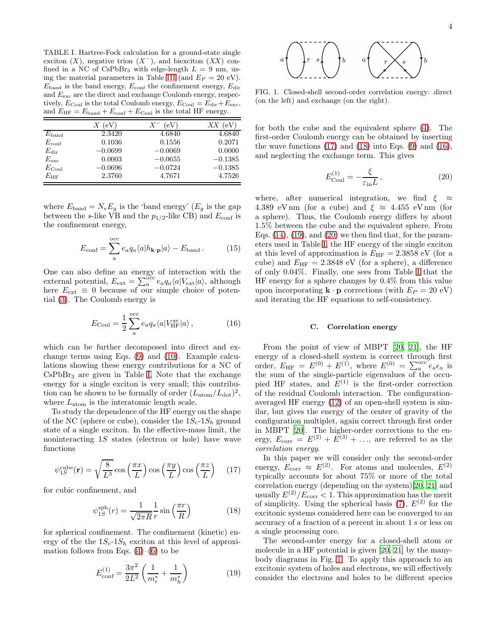<span id="page-3-1"></span>TABLE I. Hartree-Fock calculation for a ground-state single exciton  $(X)$ , negative trion  $(X^-)$ , and biexciton  $(XX)$  confined in a NC of CsPbBr<sub>3</sub> with edge-length  $L = 9$  nm, us-ing the material parameters in Table [III](#page-5-2) (and  $E_P = 20$  eV).  $E_{\text{band}}$  is the band energy,  $E_{\text{conf}}$  the confinement energy,  $E_{\text{dir}}$ and  $E_{\text{exc}}$  are the direct and exchange Coulomb energy, respectively,  $E_{\text{Coul}}$  is the total Coulomb energy,  $E_{\text{Coul}} = E_{\text{dir}} + E_{\text{exc}}$ , and  $E_{\text{HF}} = E_{\text{band}} + E_{\text{conf}} + E_{\text{Coul}}$  is the total HF energy.

|                   | $X$ (eV)  | (eV)<br>$X^-$ | (eV)<br>XХ |
|-------------------|-----------|---------------|------------|
| $E_{\rm band}$    | 2.3420    | 4.6840        | 4.6840     |
| $E_{\rm conf}$    | 0.1036    | 0.1556        | 0.2071     |
| $E_{\rm dir}$     | $-0.0699$ | $-0.0069$     | 0.0000     |
| $E_{\rm exc}$     | 0.0003    | $-0.0655$     | $-0.1385$  |
| $E_{\text{Coul}}$ | $-0.0696$ | $-0.0724$     | $-0.1385$  |
| $E_{\rm HF}$      | 2.3760    | 4.7671        | 4.7526     |

where  $E_{\text{band}} = N_e E_g$  is the 'band energy'  $(E_g$  is the gap between the s-like VB and the  $p_{1/2}$ -like CB) and  $E_{\text{conf}}$  is the confinement energy,

$$
E_{\rm conf} = \sum_{a}^{\rm occ} e_a q_a \langle a | h_{\mathbf{k} \cdot \mathbf{p}} | a \rangle - E_{\rm band} \,. \tag{15}
$$

One can also define an energy of interaction with the external potential,  $E_{ext} = \sum_{a}^{\infty} e_a q_a \langle a|V_{ext}|a\rangle$ , although here  $E_{ext} \equiv 0$  because of our simple choice of potential [\(3\)](#page-1-4). The Coulomb energy is

<span id="page-3-4"></span>
$$
E_{\text{Coul}} = \frac{1}{2} \sum_{a}^{\text{occ}} e_a q_a \langle a | V_{\text{HF}}^{\text{av}} | a \rangle \,, \tag{16}
$$

which can be further decomposed into direct and exchange terms using Eqs. [\(9\)](#page-2-2) and [\(10\)](#page-2-2). Example calculations showing these energy contributions for a NC of  $CsPbBr<sub>3</sub>$  are given in Table [I.](#page-3-1) Note that the exchange energy for a single exciton is very small; this contribution can be shown to be formally of order  $(L_{\text{atom}}/L_{\text{dot}})^2$ , where  $L_{\text{atom}}$  is the interatomic length scale.

To study the dependence of the HF energy on the shape of the NC (sphere or cube), consider the  $1S_e-1S_h$  ground state of a single exciton. In the effective-mass limit, the noninteracting 1S states (electron or hole) have wave functions

<span id="page-3-2"></span>
$$
\psi_{1S}^{\text{cube}}(\mathbf{r}) = \sqrt{\frac{8}{L^3}} \cos\left(\frac{\pi x}{L}\right) \cos\left(\frac{\pi y}{L}\right) \cos\left(\frac{\pi z}{L}\right) \quad (17)
$$

for cubic confinement, and

<span id="page-3-3"></span>
$$
\psi_{1S}^{\text{sph}}(r) = \frac{1}{\sqrt{2\pi R}} \frac{1}{r} \sin\left(\frac{\pi r}{R}\right) \tag{18}
$$

for spherical confinement. The confinement (kinetic) energy of the the  $1S_e-1S_h$  exciton at this level of approximation follows from Eqs.  $(4)$ – $(6)$  to be

<span id="page-3-5"></span>
$$
E_{\rm conf}^{(1)} = \frac{3\pi^2}{2L^2} \left( \frac{1}{m_e^*} + \frac{1}{m_h^*} \right) \tag{19}
$$



<span id="page-3-7"></span>FIG. 1. Closed-shell second-order correlation energy: direct (on the left) and exchange (on the right).

for both the cube and the equivalent sphere [\(4\)](#page-1-3). The first-order Coulomb energy can be obtained by inserting the wave functions  $(17)$  and  $(18)$  into Eqs.  $(9)$  and  $(16)$ , and neglecting the exchange term. This gives

<span id="page-3-6"></span>
$$
E_{\text{Coul}}^{(1)} = -\frac{\xi}{\varepsilon_{\text{in}} L},\tag{20}
$$

where, after numerical integration, we find  $\xi \approx$ 4.389 eV nm (for a cube) and  $\xi \approx 4.455$  eV nm (for a sphere). Thus, the Coulomb energy differs by about 1.5% between the cube and the equivalent sphere. From Eqs.  $(14)$ ,  $(19)$ , and  $(20)$  we then find that, for the parameters used in Table [I,](#page-3-1) the HF energy of the single exciton at this level of approximation is  $E_{HF} = 2.3858 \text{ eV}$  (for a cube) and  $E_{\text{HF}} = 2.3848 \text{ eV}$  (for a sphere), a difference of only 0.04%. Finally, one sees from Table [I](#page-3-1) that the HF energy for a sphere changes by 0.4% from this value upon incorporating  $\mathbf{k} \cdot \mathbf{p}$  corrections (with  $E_P = 20 \text{ eV}$ ) and iterating the HF equations to self-consistency.

## <span id="page-3-0"></span>C. Correlation energy

From the point of view of MBPT [\[20,](#page-10-5) [21](#page-10-6)], the HF energy of a closed-shell system is correct through first order,  $E_{\text{HF}} = E^{(0)} + E^{(1)}$ , where  $E^{(0)} = \sum_{a}^{\text{occ}} e_a \epsilon_a$  is the sum of the single-particle eigenvalues of the occupied HF states, and  $E^{(1)}$  is the first-order correction of the residual Coulomb interaction. The configurationaveraged HF energy [\(12\)](#page-2-5) of an open-shell system is similar, but gives the energy of the center of gravity of the configuration multiplet, again correct through first order in MBPT [\[20](#page-10-5)]. The higher-order corrections to the energy,  $E_{\text{corr}} = E^{(2)} + E^{(3)} + \ldots$ , are referred to as the correlation energy.

In this paper we will consider only the second-order energy,  $E_{\text{corr}} \approx E^{(2)}$ . For atoms and molecules,  $E^{(2)}$ typically accounts for about 75% or more of the total correlation energy (depending on the system)[\[20,](#page-10-5) [21\]](#page-10-6) and usually  $E^{(2)}/E_{\text{corr}} < 1$ . This approximation has the merit of simplicity. Using the spherical basis  $(7)$ ,  $E^{(2)}$  for the excitonic systems considered here can be converged to an accuracy of a fraction of a percent in about 1 s or less on a single processing core.

The second-order energy for a closed-shell atom or molecule in a HF potential is given [\[20](#page-10-5), [21](#page-10-6)] by the manybody diagrams in Fig. [1.](#page-3-7) To apply this approach to an excitonic system of holes and electrons, we will effectively consider the electrons and holes to be different species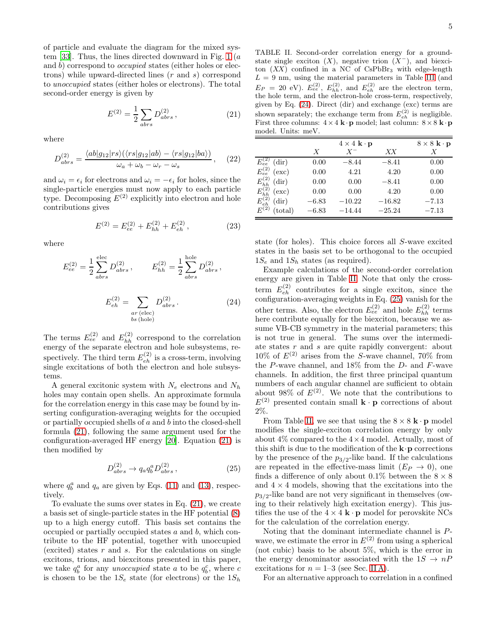of particle and evaluate the diagram for the mixed sys-tem [\[33\]](#page-10-18). Thus, the lines directed downward in Fig. [1](#page-3-7) ( $a$ ) and b) correspond to occupied states (either holes or electrons) while upward-directed lines (r and s) correspond to unoccupied states (either holes or electrons). The total second-order energy is given by

<span id="page-4-0"></span>
$$
E^{(2)} = \frac{1}{2} \sum_{abrs} D^{(2)}_{abrs} , \qquad (21)
$$

where

<span id="page-4-4"></span>
$$
D_{abrs}^{(2)} = \frac{\langle ab|g_{12}|rs\rangle(\langle rs|g_{12}|ab\rangle - \langle rs|g_{12}|ba\rangle)}{\omega_a + \omega_b - \omega_r - \omega_s}, \quad (22)
$$

and  $\omega_i = \epsilon_i$  for electrons and  $\omega_i = -\epsilon_i$  for holes, since the single-particle energies must now apply to each particle type. Decomposing  $E^{(2)}$  explicitly into electron and hole contributions gives

<span id="page-4-5"></span>
$$
E^{(2)} = E_{ee}^{(2)} + E_{hh}^{(2)} + E_{eh}^{(2)},
$$
\n(23)

where

$$
E_{ee}^{(2)} = \frac{1}{2} \sum_{abrs}^{\text{elec}} D_{abrs}^{(2)}, \qquad E_{hh}^{(2)} = \frac{1}{2} \sum_{abrs}^{\text{hole}} D_{abrs}^{(2)},
$$

$$
E_{eh}^{(2)} = \sum_{\substack{ar \text{ (elec)} \\ bs \text{ (hole)}}} D_{abrs}^{(2)}.
$$
(24)

The terms  $E_{ee}^{(2)}$  and  $E_{hh}^{(2)}$  correspond to the correlation energy of the separate electron and hole subsystems, respectively. The third term  $E_{eh}^{(2)}$  is a cross-term, involving single excitations of both the electron and hole subsystems.

A general excitonic system with  $N_e$  electrons and  $N_h$ holes may contain open shells. An approximate formula for the correlation energy in this case may be found by inserting configuration-averaging weights for the occupied or partially occupied shells of a and b into the closed-shell formula [\(21\)](#page-4-0), following the same argument used for the configuration-averaged HF energy [\[20\]](#page-10-5). Equation [\(21\)](#page-4-0) is then modified by

<span id="page-4-3"></span>
$$
D_{abrs}^{(2)} \to q_a q_b^a D_{abrs}^{(2)}, \qquad (25)
$$

where  $q_b^a$  and  $q_a$  are given by Eqs. [\(11\)](#page-2-6) and [\(13\)](#page-2-7), respectively.

To evaluate the sums over states in Eq. [\(21\)](#page-4-0), we create a basis set of single-particle states in the HF potential [\(8\)](#page-2-3) up to a high energy cutoff. This basis set contains the occupied or partially occupied states a and b, which contribute to the HF potential, together with unoccupied (excited) states  $r$  and  $s$ . For the calculations on single excitons, trions, and biexcitons presented in this paper, we take  $q_b^a$  for any *unoccupied* state a to be  $q_b^c$ , where c is chosen to be the  $1S_e$  state (for electrons) or the  $1S_h$ 

<span id="page-4-2"></span>TABLE II. Second-order correlation energy for a groundstate single exciton  $(X)$ , negative trion  $(X^-)$ , and biexciton  $(XX)$  confined in a NC of CsPbBr<sub>3</sub> with edge-length  $L = 9$  nm, using the material parameters in Table [III](#page-5-2) (and  $E_P = 20$  eV).  $E_{ee}^{(2)}$ ,  $E_{hh}^{(2)}$ , and  $E_{eh}^{(2)}$  are the electron term, the hole term, and the electron-hole cross-term, respectively, given by Eq. [\(24\)](#page-4-1). Direct (dir) and exchange (exc) terms are shown separately; the exchange term from  $E_{eh}^{(2)}$  is negligible. First three columns:  $4 \times 4 \mathbf{k} \cdot \mathbf{p}$  model; last column:  $8 \times 8 \mathbf{k} \cdot \mathbf{p}$ model. Units: meV.

|                                         |                  | $4 \times 4 \mathbf{k} \cdot \mathbf{p}$ |          |         |
|-----------------------------------------|------------------|------------------------------------------|----------|---------|
|                                         | $\boldsymbol{X}$ | $X^-$                                    | XX       | Х       |
| $E_{ee}^{(2)}$ (dir)                    | 0.00             | $-8.44$                                  | $-8.41$  | 0.00    |
| $E_{ee}^{(2)}$<br>(exc)                 | 0.00             | 4.21                                     | 4.20     | 0.00    |
| $E_{hh}^{(2)}$<br>$\text{(dir)}$        | 0.00             | 0.00                                     | $-8.41$  | 0.00    |
| $E_{hh}^{(2)}$<br>(exc)                 | 0.00             | 0.00                                     | 4.20     | 0.00    |
| $E_{eh}^{\backslash}$<br>$\text{(dir)}$ | $-6.83$          | $-10.22$                                 | $-16.82$ | $-7.13$ |
| $E^{(2)}$<br>$_{\rm (total)}$           | $-6.83$          | $-14.44$                                 | $-25.24$ | $-7.13$ |

state (for holes). This choice forces all S-wave excited states in the basis set to be orthogonal to the occupied  $1S_e$  and  $1S_h$  states (as required).

<span id="page-4-1"></span>Example calculations of the second-order correlation energy are given in Table [II.](#page-4-2) Note that only the crossterm  $E_{eh}^{(2)}$  contributes for a single exciton, since the configuration-averaging weights in Eq.  $(25)$  vanish for the other terms. Also, the electron  $E_{ee}^{(2)}$  and hole  $E_{hh}^{(2)}$  terms here contribute equally for the biexciton, because we assume VB-CB symmetry in the material parameters; this is not true in general. The sums over the intermediate states r and s are quite rapidly convergent: about  $10\%$  of  $E^{(2)}$  arises from the S-wave channel, 70% from the  $P$ -wave channel, and 18% from the  $D$ - and  $F$ -wave channels. In addition, the first three principal quantum numbers of each angular channel are sufficient to obtain about 98% of  $E^{(2)}$ . We note that the contributions to  $E^{(2)}$  presented contain small  $\mathbf{k} \cdot \mathbf{p}$  corrections of about 2%.

From Table [II,](#page-4-2) we see that using the  $8 \times 8$  k · p model modifies the single-exciton correlation energy by only about  $4\%$  compared to the  $4\times 4$  model. Actually, most of this shift is due to the modification of the  $\mathbf{k} \cdot \mathbf{p}$  corrections by the presence of the  $p_{3/2}$ -like band. If the calculations are repeated in the effective-mass limit  $(E_P \rightarrow 0)$ , one finds a difference of only about 0.1% between the  $8 \times 8$ and  $4 \times 4$  models, showing that the excitations into the  $p_{3/2}$ -like band are not very significant in themselves (owing to their relatively high excitation energy). This justifies the use of the  $4 \times 4 \mathbf{k} \cdot \mathbf{p}$  model for perovskite NCs for the calculation of the correlation energy.

Noting that the dominant intermediate channel is Pwave, we estimate the error in  $E^{(2)}$  from using a spherical (not cubic) basis to be about 5%, which is the error in the energy denominator associated with the  $1S \rightarrow nP$ excitations for  $n = 1-3$  (see Sec. [II A\)](#page-1-1).

For an alternative approach to correlation in a confined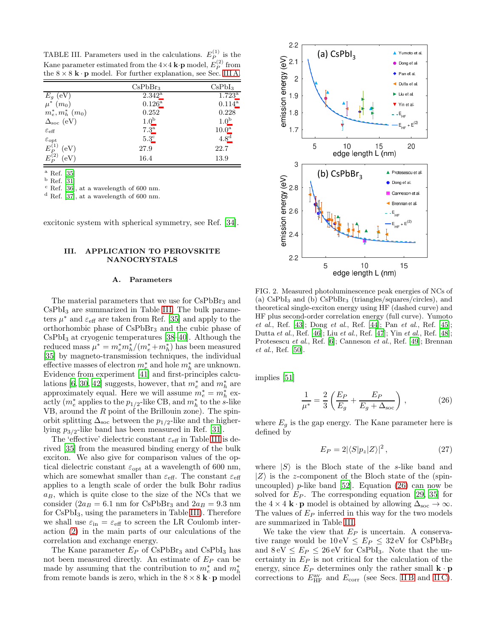<span id="page-5-2"></span>TABLE III. Parameters used in the calculations.  $E_P^{(1)}$  is the Kane parameter estimated from the  $4\times 4$  **k**·**p** model,  $E_P^{(2)}$  from the  $8 \times 8$  k · p model. For further explanation, see Sec. [III A.](#page-5-1)

|                            | CsPbBr <sub>3</sub> | CsPbI <sub>3</sub> |
|----------------------------|---------------------|--------------------|
| $E_g$ (eV)                 | $2.342^{\rm a}$     | $1.723^{\rm a}$    |
| $\mu^*(m_0)$               | $0.126^{\rm a}$     | $0.114^{a}$        |
| $m_e^*, m_h^*$ $(m_0)$     | 0.252               | 0.228              |
| $\Delta_{\rm soc}$ (eV)    | 1.0 <sup>b</sup>    | 1.0 <sup>b</sup>   |
| $\varepsilon_{\text{eff}}$ | $7.3^{\rm a}$       | 10.0 <sup>a</sup>  |
| $\varepsilon_{\rm opt}$    | $5.3^{\circ}$       | 4.8 <sup>d</sup>   |
| $E_P^{(1)}$<br>(eV)        | 27.9                | 22.7               |
| $E_P^{(2)}$<br>(eV)        | 16.4                | 13.9               |

 $^{\rm a}$  Ref. [\[35](#page-10-19)]

<span id="page-5-3"></span><sup>b</sup> Ref. [\[31](#page-10-16)]

<span id="page-5-4"></span> $\rm^c$  Ref. [\[36](#page-10-20)], at a wavelength of 600 nm.

<span id="page-5-6"></span><span id="page-5-5"></span><sup>d</sup> Ref. [\[37](#page-10-21)], at a wavelength of 600 nm.

excitonic system with spherical symmetry, see Ref. [\[34](#page-10-22)].

## <span id="page-5-0"></span>III. APPLICATION TO PEROVSKITE NANOCRYSTALS

### <span id="page-5-1"></span>A. Parameters

The material parameters that we use for CsPbBr<sub>3</sub> and CsPbI<sup>3</sup> are summarized in Table [III.](#page-5-2) The bulk parameters  $\mu^*$  and  $\varepsilon_{\text{eff}}$  are taken from Ref. [\[35\]](#page-10-19) and apply to the orthorhombic phase of  $CsPbBr<sub>3</sub>$  and the cubic phase of  $CsPbI<sub>3</sub>$  at cryogenic temperatures [\[38](#page-10-23)[–40\]](#page-10-24). Although the reduced mass  $\mu^* = m_e^* m_h^* / (m_e^* + m_h^*)$  has been measured [\[35\]](#page-10-19) by magneto-transmission techniques, the individual effective masses of electron  $m^{\ast}_{e}$  and hole  $m^{\ast}_{h}$  are unknown. Evidence from experiment [\[41\]](#page-10-25) and first-principles calcu-lations [\[6,](#page-9-5) [30](#page-10-15), [42\]](#page-10-26) suggests, however, that  $m_e^*$  and  $m_h^*$  are approximately equal. Here we will assume  $m_e^* = m_h^*$  exactly  $(m_e^*$  applies to the  $p_{1/2}$ -like CB, and  $m_h^*$  to the s-like VB, around the  $R$  point of the Brillouin zone). The spinorbit splitting  $\Delta_{\text{soc}}$  between the  $p_{1/2}$ -like and the higherlying  $p_{3/2}$ -like band has been measured in Ref. [\[31\]](#page-10-16).

The 'effective' dielectric constant  $\varepsilon_{\text{eff}}$  in Table [III](#page-5-2) is derived [\[35\]](#page-10-19) from the measured binding energy of the bulk exciton. We also give for comparison values of the optical dielectric constant  $\varepsilon_{opt}$  at a wavelength of 600 nm, which are somewhat smaller than  $\varepsilon_{\text{eff}}$ . The constant  $\varepsilon_{\text{eff}}$ applies to a length scale of order the bulk Bohr radius  $a_B$ , which is quite close to the size of the NCs that we consider ( $2a_B = 6.1$  nm for CsPbBr<sub>3</sub> and  $2a_B = 9.3$  nm for CsPbI3, using the parameters in Table [III\)](#page-5-2). Therefore we shall use  $\varepsilon_{\rm in} = \varepsilon_{\rm eff}$  to screen the LR Coulomb interaction [\(2\)](#page-1-6) in the main parts of our calculations of the correlation and exchange energy.

The Kane parameter  $E_P$  of CsPbBr<sub>3</sub> and CsPbI<sub>3</sub> has not been measured directly. An estimate of  $E_P$  can be made by assuming that the contribution to  $m_e^*$  and  $m_h^*$ from remote bands is zero, which in the  $8 \times 8$  k · p model



<span id="page-5-8"></span>FIG. 2. Measured photoluminescence peak energies of NCs of (a)  $CsPbI<sub>3</sub>$  and (b)  $CsPbBr<sub>3</sub>$  (triangles/squares/circles), and theoretical single-exciton energy using HF (dashed curve) and HF plus second-order correlation energy (full curve). Yumoto *et al*., Ref. [\[43](#page-10-27)]; Dong *et al*., Ref. [\[44](#page-11-0)]; Pan *et al*., Ref. [\[45\]](#page-11-1); Dutta *et al*., Ref. [\[46](#page-11-2)]; Liu *et al*., Ref. [\[47](#page-11-3)]; Yin *et al*., Ref. [\[48\]](#page-11-4); Protesescu *et al*., Ref. [\[6](#page-9-5)]; Canneson *et al*., Ref. [\[49\]](#page-11-5); Brennan *et al*., Ref. [\[50\]](#page-11-6).

implies [\[51\]](#page-11-7)

<span id="page-5-7"></span>
$$
\frac{1}{\mu^*} = \frac{2}{3} \left( \frac{E_P}{E_g} + \frac{E_P}{E_g + \Delta_{\text{soc}}} \right),\tag{26}
$$

where  $E_g$  is the gap energy. The Kane parameter here is defined by

$$
E_P = 2|\langle S|p_z|Z\rangle|^2, \qquad (27)
$$

where  $|S\rangle$  is the Bloch state of the s-like band and  $|Z\rangle$  is the z-component of the Bloch state of the (spinuncoupled) p-like band  $[52]$ . Equation  $(26)$  can now be solved for  $E_P$ . The corresponding equation [\[29,](#page-10-14) [35](#page-10-19)] for the 4 × 4 **k** · **p** model is obtained by allowing  $\Delta_{\text{soc}} \to \infty$ . The values of  $E_P$  inferred in this way for the two models are summarized in Table [III.](#page-5-2)

We take the view that  $E_P$  is uncertain. A conservative range would be  $10 \text{ eV} \leq E_P \leq 32 \text{ eV}$  for CsPbBr<sub>3</sub> and  $8 \text{ eV} \leq E_P \leq 26 \text{ eV}$  for CsPbI<sub>3</sub>. Note that the uncertainty in  $E_P$  is not critical for the calculation of the energy, since  $E_P$  determines only the rather small  $\mathbf{k} \cdot \mathbf{p}$ corrections to  $E_{\text{HF}}^{\text{av}}$  and  $E_{\text{corr}}$  (see Secs. IIB and IIC).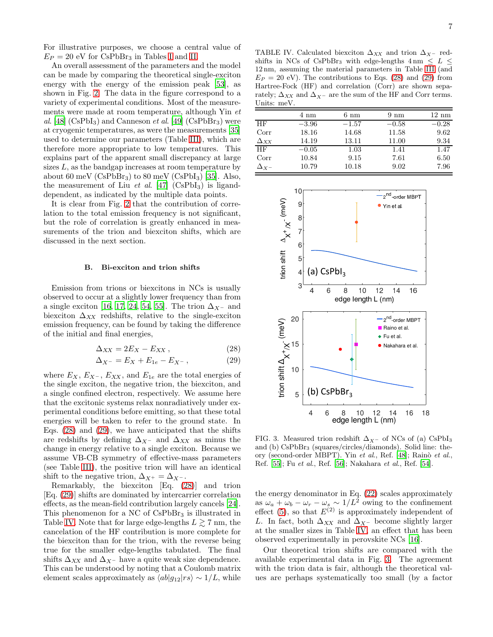For illustrative purposes, we choose a central value of  $E_P = 20$  eV for CsPbBr<sub>3</sub> in Tables [I](#page-3-1) and [II.](#page-4-2)

An overall assessment of the parameters and the model can be made by comparing the theoretical single-exciton energy with the energy of the emission peak [\[53\]](#page-11-9), as shown in Fig. [2.](#page-5-8) The data in the figure correspond to a variety of experimental conditions. Most of the measurements were made at room temperature, although Yin et al. [\[48\]](#page-11-4)  $(CsPbI<sub>3</sub>)$  and Canneson *et al.* [\[49](#page-11-5)]  $(CsPbBr<sub>3</sub>)$  were at cryogenic temperatures, as were the measurements [\[35](#page-10-19)] used to determine our parameters (Table [III\)](#page-5-2), which are therefore more appropriate to low temperatures. This explains part of the apparent small discrepancy at large sizes  $L$ , as the bandgap increases at room temperature by about 60 meV (CsPbBr<sub>3</sub>) to 80 meV (CsPbI<sub>3</sub>) [\[35\]](#page-10-19). Also, the measurement of Liu et al.  $[47]$  (CsPbI<sub>3</sub>) is liganddependent, as indicated by the multiple data points.

It is clear from Fig. [2](#page-5-8) that the contribution of correlation to the total emission frequency is not significant, but the role of correlation is greatly enhanced in measurements of the trion and biexciton shifts, which are discussed in the next section.

#### <span id="page-6-0"></span>B. Bi-exciton and trion shifts

Emission from trions or biexcitons in NCs is usually observed to occur at a slightly lower frequency than from a single exciton [\[16,](#page-10-4) [17,](#page-10-28) [24](#page-10-9), [54](#page-11-10), [55\]](#page-11-11). The trion  $\Delta_{X^-}$  and biexciton  $\Delta_{XX}$  redshifts, relative to the single-exciton emission frequency, can be found by taking the difference of the initial and final energies,

<span id="page-6-1"></span>
$$
\Delta_{XX} = 2E_X - E_{XX},\qquad(28)
$$

$$
\Delta_{X^{-}} = E_X + E_{1e} - E_{X^{-}}, \qquad (29)
$$

where  $E_X$ ,  $E_{X^-}$ ,  $E_{XX}$ , and  $E_{1e}$  are the total energies of the single exciton, the negative trion, the biexciton, and a single confined electron, respectively. We assume here that the excitonic systems relax nonradiatively under experimental conditions before emitting, so that these total energies will be taken to refer to the ground state. In Eqs. [\(28\)](#page-6-1) and [\(29\)](#page-6-1), we have anticipated that the shifts are redshifts by defining  $\Delta_{X^-}$  and  $\Delta_{XX}$  as minus the change in energy relative to a single exciton. Because we assume VB-CB symmetry of effective-mass parameters (see Table [III\)](#page-5-2), the positive trion will have an identical shift to the negative trion,  $\Delta_{X^+} = \Delta_{X^-}$ .

Remarkably, the biexciton [Eq. [\(28\)](#page-6-1)] and trion [Eq. [\(29\)](#page-6-1)] shifts are dominated by intercarrier correlation effects, as the mean-field contribution largely cancels [\[24\]](#page-10-9). This phenomenon for a NC of  $CsPbBr<sub>3</sub>$  is illustrated in Table [IV.](#page-6-2) Note that for large edge-lengths  $L \gtrsim 7$  nm, the cancelation of the HF contribution is more complete for the biexciton than for the trion, with the reverse being true for the smaller edge-lengths tabulated. The final shifts  $\Delta_{XX}$  and  $\Delta_{X^-}$  have a quite weak size dependence. This can be understood by noting that a Coulomb matrix element scales approximately as  $\langle ab|g_{12}|rs \rangle \sim 1/L$ , while

<span id="page-6-2"></span>TABLE IV. Calculated biexciton  $\Delta_{XX}$  and trion  $\Delta_{X^-}$  redshifts in NCs of CsPbBr<sub>3</sub> with edge-lengths  $4 \text{ nm} \leq L \leq$ 12 nm, assuming the material parameters in Table [III](#page-5-2) (and  $E_P = 20$  eV). The contributions to Eqs. [\(28\)](#page-6-1) and [\(29\)](#page-6-1) from Hartree-Fock (HF) and correlation (Corr) are shown separately;  $\Delta_{XX}$  and  $\Delta_{X^-}$  are the sum of the HF and Corr terms. Units: meV.

|                       | 4 nm    | $6 \text{ nm}$ | $9 \text{ nm}$ | $12 \text{ nm}$ |
|-----------------------|---------|----------------|----------------|-----------------|
| <b>HF</b>             | $-3.96$ | $-1.57$        | $-0.58$        | $-0.28$         |
| Corr                  | 18.16   | 14.68          | 11.58          | 9.62            |
| $\Delta$ xx           | 14.19   | 13.11          | 11.00          | 9.34            |
| <b>HF</b>             | $-0.05$ | 1.03           | 1.41           | 1.47            |
| Corr                  | 10.84   | 9.15           | 7.61           | 6.50            |
| $\Delta$ $_{\rm Y}$ – | 10.79   | 10.18          | 9.02           | 7.96            |



<span id="page-6-3"></span>FIG. 3. Measured trion redshift  $\Delta_{X}$ – of NCs of (a) CsPbI<sub>3</sub> and (b) CsPbBr<sup>3</sup> (squares/circles/diamonds). Solid line: theory (second-order MBPT). Yin *et al.*, Ref. [\[48\]](#page-11-4); Rainò *et al.*, Ref. [\[55](#page-11-11)]; Fu *et al*., Ref. [\[56\]](#page-11-12); Nakahara *et al*., Ref. [\[54](#page-11-10)].

the energy denominator in Eq. [\(22\)](#page-4-4) scales approximately as  $\omega_a + \omega_b - \omega_r - \omega_s \sim 1/L^2$  owing to the confinement effect [\(5\)](#page-1-7), so that  $E^{(2)}$  is approximately independent of L. In fact, both  $\Delta_{XX}$  and  $\Delta_{X^-}$  become slightly larger at the smaller sizes in Table [IV,](#page-6-2) an effect that has been observed experimentally in perovskite NCs [\[16\]](#page-10-4).

Our theoretical trion shifts are compared with the available experimental data in Fig. [3.](#page-6-3) The agreement with the trion data is fair, although the theoretical values are perhaps systematically too small (by a factor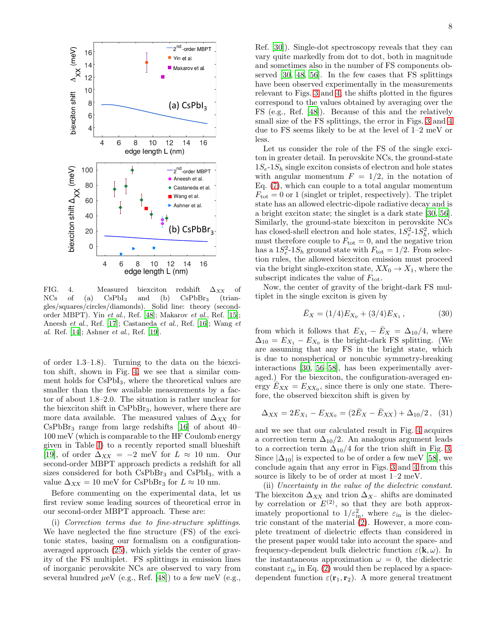

<span id="page-7-0"></span>FIG. 4. Measured biexciton redshift  $\Delta_{XX}$  of NCs of (a)  $CsPbI_3$  and (b)  $CsPbBr_3$  (triangles/squares/circles/diamonds). Solid line: theory (secondorder MBPT). Yin *et al*., Ref. [\[48](#page-11-4)]; Makarov *et al*., Ref. [\[15](#page-10-29)]; Aneesh *et al*., Ref. [\[17](#page-10-28)]; Castaneda *et al*., Ref. [\[16](#page-10-4)]; Wang *et al*. Ref. [\[14\]](#page-10-2); Ashner *et al*., Ref. [\[19](#page-10-3)].

of order 1.3–1.8). Turning to the data on the biexciton shift, shown in Fig. [4,](#page-7-0) we see that a similar comment holds for CsPbI3, where the theoretical values are smaller than the few available measurements by a factor of about 1.8–2.0. The situation is rather unclear for the biexciton shift in CsPbBr3, however, where there are more data available. The measured values of  $\Delta_{XX}$  for  $CsPbBr<sub>3</sub>$  range from large redshifts [\[16\]](#page-10-4) of about 40– 100 meV (which is comparable to the HF Coulomb energy given in Table [I\)](#page-3-1) to a recently reported small blueshift [\[19\]](#page-10-3), of order  $\Delta_{XX} = -2$  meV for  $L \approx 10$  nm. Our second-order MBPT approach predicts a redshift for all sizes considered for both  $CsPbBr<sub>3</sub>$  and  $CsPbI<sub>3</sub>$ , with a value  $\Delta_{XX} = 10$  meV for CsPbBr<sub>3</sub> for  $L \approx 10$  nm.

Before commenting on the experimental data, let us first review some leading sources of theoretical error in our second-order MBPT approach. These are:

(i) Correction terms due to fine-structure splittings. We have neglected the fine structure (FS) of the excitonic states, basing our formalism on a configurationaveraged approach [\(25\)](#page-4-3), which yields the center of gravity of the FS multiplet. FS splittings in emission lines of inorganic perovskite NCs are observed to vary from several hundred  $\mu$ eV (e.g., Ref. [\[48\]](#page-11-4)) to a few meV (e.g.,

Ref. [\[30\]](#page-10-15)). Single-dot spectroscopy reveals that they can vary quite markedly from dot to dot, both in magnitude and sometimes also in the number of FS components observed [\[30](#page-10-15), [48](#page-11-4), [56\]](#page-11-12). In the few cases that FS splittings have been observed experimentally in the measurements relevant to Figs. [3](#page-6-3) and [4,](#page-7-0) the shifts plotted in the figures correspond to the values obtained by averaging over the FS (e.g., Ref. [\[48](#page-11-4)]). Because of this and the relatively small size of the FS splittings, the error in Figs. [3](#page-6-3) and [4](#page-7-0) due to FS seems likely to be at the level of 1–2 meV or less.

Let us consider the role of the FS of the single exciton in greater detail. In perovskite NCs, the ground-state  $1S_e-1S_h$  single exciton consists of electron and hole states with angular momentum  $F = 1/2$ , in the notation of Eq. [\(7\)](#page-2-1), which can couple to a total angular momentum  $F_{\text{tot}} = 0$  or 1 (singlet or triplet, respectively). The triplet state has an allowed electric-dipole radiative decay and is a bright exciton state; the singlet is a dark state [\[30,](#page-10-15) [56\]](#page-11-12). Similarly, the ground-state biexciton in perovskite NCs has closed-shell electron and hole states,  $1S_e^2-1S_h^2$ , which must therefore couple to  $F_{\text{tot}} = 0$ , and the negative trion has a  $1S_e^2$ -1 $S_h$  ground state with  $F_{\text{tot}} = 1/2$ . From selection rules, the allowed biexciton emission must proceed via the bright single-exciton state,  $XX_0 \rightarrow X_1$ , where the subscript indicates the value of  $F_{\text{tot}}$ .

Now, the center of gravity of the bright-dark FS multiplet in the single exciton is given by

$$
\bar{E}_X = (1/4)E_{X_0} + (3/4)E_{X_1},\tag{30}
$$

from which it follows that  $E_{X_1} - \bar{E}_X = \Delta_{10}/4$ , where  $\Delta_{10} = E_{X_1} - E_{X_0}$  is the bright-dark FS splitting. (We are assuming that any FS in the bright state, which is due to nonspherical or noncubic symmetry-breaking interactions [\[30](#page-10-15), [56–](#page-11-12)[58\]](#page-11-13), has been experimentally averaged.) For the biexciton, the configuration-averaged energy  $\overline{E}_{XX} = E_{XX_0}$ , since there is only one state. Therefore, the observed biexciton shift is given by

$$
\Delta_{XX} = 2E_{X_1} - E_{XX_0} = (2\bar{E}_X - \bar{E}_{XX}) + \Delta_{10}/2, \quad (31)
$$

and we see that our calculated result in Fig. [4](#page-7-0) acquires a correction term  $\Delta_{10}/2$ . An analogous argument leads to a correction term  $\Delta_{10}/4$  for the trion shift in Fig. [3.](#page-6-3) Since  $|\Delta_{10}|$  is expected to be of order a few meV [\[58](#page-11-13)], we conclude again that any error in Figs. [3](#page-6-3) and [4](#page-7-0) from this source is likely to be of order at most 1–2 meV.

(ii) Uncertainty in the value of the dielectric constant. The biexciton  $\Delta_{XX}$  and trion  $\Delta_{X^-}$  shifts are dominated by correlation or  $E^{(2)}$ , so that they are both approximately proportional to  $1/\varepsilon_{\rm in}^2$ , where  $\varepsilon_{\rm in}$  is the dielectric constant of the material [\(2\)](#page-1-6). However, a more complete treatment of dielectric effects than considered in the present paper would take into account the space- and frequency-dependent bulk dielectric function  $\varepsilon(\mathbf{k}, \omega)$ . In the instantaneous approximation  $\omega = 0$ , the dielectric constant  $\varepsilon_{\rm in}$  in Eq. [\(2\)](#page-1-6) would then be replaced by a spacedependent function  $\varepsilon(\mathbf{r}_1, \mathbf{r}_2)$ . A more general treatment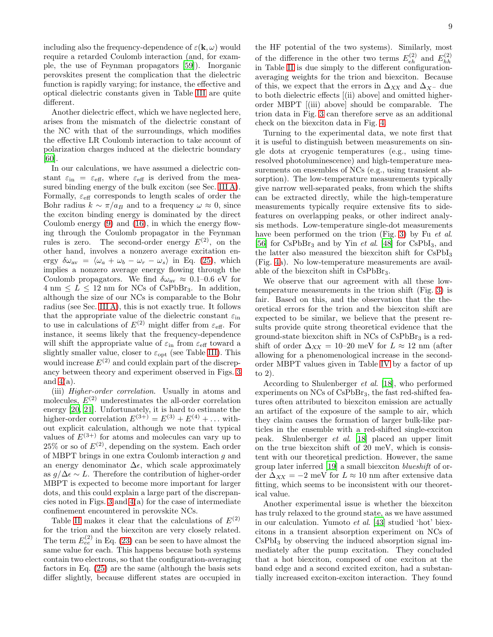including also the frequency-dependence of  $\varepsilon(\mathbf{k}, \omega)$  would require a retarded Coulomb interaction (and, for example, the use of Feynman propagators [\[59\]](#page-11-14)). Inorganic perovskites present the complication that the dielectric function is rapidly varying; for instance, the effective and optical dielectric constants given in Table [III](#page-5-2) are quite different.

Another dielectric effect, which we have neglected here, arises from the mismatch of the dielectric constant of the NC with that of the surroundings, which modifies the effective LR Coulomb interaction to take account of polarization charges induced at the dielectric boundary [\[60\]](#page-11-15).

In our calculations, we have assumed a dielectric constant  $\varepsilon_{\text{in}} = \varepsilon_{\text{eff}}$ , where  $\varepsilon_{\text{eff}}$  is derived from the measured binding energy of the bulk exciton (see Sec. [III A\)](#page-5-1). Formally,  $\varepsilon_{\text{eff}}$  corresponds to length scales of order the Bohr radius  $k \sim \pi/a_B$  and to a frequency  $\omega \approx 0$ , since the exciton binding energy is dominated by the direct Coulomb energy [\(9\)](#page-2-2) and [\(16\)](#page-3-4), in which the energy flowing through the Coulomb propagator in the Feynman rules is zero. The second-order energy  $E^{(2)}$ , on the other hand, involves a nonzero average excitation energy  $\delta \omega_{av} = \langle \omega_a + \omega_b - \omega_r - \omega_s \rangle$  in Eq. [\(25\)](#page-4-3), which implies a nonzero average energy flowing through the Coulomb propagators. We find  $\delta \omega_{\text{av}} \approx 0.1{\text -}0.6 \text{ eV}$  for  $4 \text{ nm} \leq L \leq 12 \text{ nm}$  for NCs of CsPbBr<sub>3</sub>. In addition, although the size of our NCs is comparable to the Bohr radius (see Sec. [III A\)](#page-5-1), this is not exactly true. It follows that the appropriate value of the dielectric constant  $\varepsilon_{\rm in}$ to use in calculations of  $E^{(2)}$  might differ from  $\varepsilon_{\text{eff}}$ . For instance, it seems likely that the frequency-dependence will shift the appropriate value of  $\varepsilon_{\rm in}$  from  $\varepsilon_{\rm eff}$  toward a slightly smaller value, closer to  $\varepsilon_{opt}$  (see Table [III\)](#page-5-2). This would increase  $E^{(2)}$  and could explain part of the discrepancy between theory and experiment observed in Figs. [3](#page-6-3) and  $4(a)$ .

(iii) Higher-order correlation. Usually in atoms and molecules,  $E^{(2)}$  underestimates the all-order correlation energy [\[20,](#page-10-5) [21](#page-10-6)]. Unfortunately, it is hard to estimate the higher-order correlation  $E^{(3+)} = E^{(3)} + E^{(4)} + \dots$  without explicit calculation, although we note that typical values of  $E^{(3+)}$  for atoms and molecules can vary up to  $25\%$  or so of  $E^{(2)}$ , depending on the system. Each order of MBPT brings in one extra Coulomb interaction g and an energy denominator  $\Delta \epsilon$ , which scale approximately as  $g/\Delta \epsilon \sim L$ . Therefore the contribution of higher-order MBPT is expected to become more important for larger dots, and this could explain a large part of the discrepancies noted in Figs. [3](#page-6-3) and [4\(](#page-7-0)a) for the case of intermediate confinement encountered in perovskite NCs.

Table [II](#page-4-2) makes it clear that the calculations of  $E^{(2)}$ for the trion and the biexciton are very closely related. The term  $E_{ee}^{(2)}$  in Eq. [\(23\)](#page-4-5) can be seen to have almost the same value for each. This happens because both systems contain two electrons, so that the configuration-averaging factors in Eq. [\(25\)](#page-4-3) are the same (although the basis sets differ slightly, because different states are occupied in

the HF potential of the two systems). Similarly, most of the difference in the other two terms  $E_{eh}^{(2)}$  and  $E_{hh}^{(2)}$ in Table [II](#page-4-2) is due simply to the different configurationaveraging weights for the trion and biexciton. Because of this, we expect that the errors in  $\Delta_{XX}$  and  $\Delta_{X}$ - due to both dielectric effects [(ii) above] and omitted higherorder MBPT [(iii) above] should be comparable. The trion data in Fig. [3](#page-6-3) can therefore serve as an additional check on the biexciton data in Fig. [4.](#page-7-0)

Turning to the experimental data, we note first that it is useful to distinguish between measurements on single dots at cryogenic temperatures (e.g., using timeresolved photoluminescence) and high-temperature measurements on ensembles of NCs (e.g., using transient absorption). The low-temperature measurements typically give narrow well-separated peaks, from which the shifts can be extracted directly, while the high-temperature measurements typically require extensive fits to sidefeatures on overlapping peaks, or other indirect analysis methods. Low-temperature single-dot measurements have been performed on the trion (Fig. [3\)](#page-6-3) by Fu et al. [\[56\]](#page-11-12) for  $CsPbBr<sub>3</sub>$  and by Yin *et al.* [\[48\]](#page-11-4) for  $CsPbI<sub>3</sub>$ , and the latter also measured the biexciton shift for  $CsPbI<sub>3</sub>$ (Fig. [4a](#page-7-0)). No low-temperature measurements are available of the biexciton shift in CsPbBr3.

We observe that our agreement with all these lowtemperature measurements in the trion shift (Fig. [3\)](#page-6-3) is fair. Based on this, and the observation that the theoretical errors for the trion and the biexciton shift are expected to be similar, we believe that the present results provide quite strong theoretical evidence that the ground-state biexciton shift in  $NCs$  of  $CsPbBr<sub>3</sub>$  is a redshift of order  $\Delta_{XX} = 10$ –20 meV for  $L \approx 12$  nm (after allowing for a phenomenological increase in the secondorder MBPT values given in Table [IV](#page-6-2) by a factor of up to 2).

According to Shulenberger et al. [\[18\]](#page-10-30), who performed experiments on NCs of CsPbBr3, the fast red-shifted features often attributed to biexciton emission are actually an artifact of the exposure of the sample to air, which they claim causes the formation of larger bulk-like particles in the ensemble with a red-shifted single-exciton peak. Shulenberger et al. [\[18](#page-10-30)] placed an upper limit on the true biexciton shift of 20 meV, which is consistent with our theoretical prediction. However, the same group later inferred [\[19](#page-10-3)] a small biexciton blueshift of order  $\Delta_{XX} = -2$  meV for  $L \approx 10$  nm after extensive data fitting, which seems to be inconsistent with our theoretical value.

Another experimental issue is whether the biexciton has truly relaxed to the ground state, as we have assumed in our calculation. Yumoto et al. [\[43\]](#page-10-27) studied 'hot' biexcitons in a transient absorption experiment on NCs of  $CsPbI<sub>3</sub>$  by observing the induced absorption signal immediately after the pump excitation. They concluded that a hot biexciton, composed of one exciton at the band edge and a second excited exciton, had a substantially increased exciton-exciton interaction. They found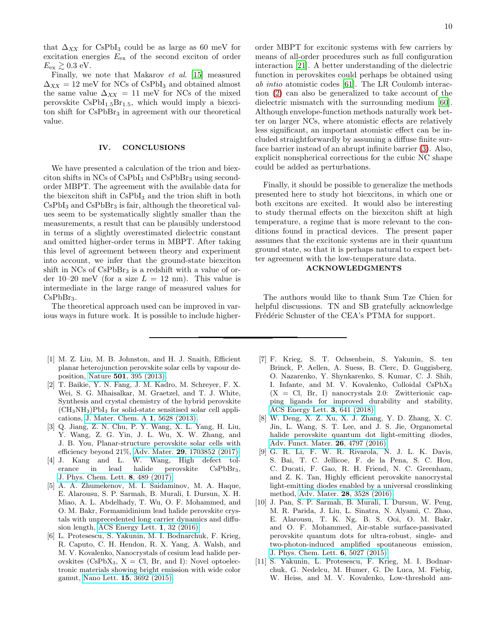that  $\Delta_{XX}$  for CsPbI<sub>3</sub> could be as large as 60 meV for excitation energies  $E_{\text{ex}}$  of the second exciton of order  $E_{\text{ex}} \gtrsim 0.3 \text{ eV}.$ 

Finally, we note that Makarov et al. [\[15](#page-10-29)] measured  $\Delta_{XX} = 12$  meV for NCs of CsPbI<sub>3</sub> and obtained almost the same value  $\Delta_{XX} = 11$  meV for NCs of the mixed perovskite  $CsPbI<sub>1.5</sub>Br<sub>1.5</sub>$ , which would imply a biexciton shift for  $CsPbBr<sub>3</sub>$  in agreement with our theoretical value.

## <span id="page-9-11"></span>IV. CONCLUSIONS

We have presented a calculation of the trion and biexciton shifts in NCs of CsPbI<sup>3</sup> and CsPbBr<sup>3</sup> using secondorder MBPT. The agreement with the available data for the biexciton shift in CsPbI<sup>3</sup> and the trion shift in both CsPbI<sup>3</sup> and CsPbBr<sup>3</sup> is fair, although the theoretical values seem to be systematically slightly smaller than the measurements, a result that can be plausibly understood in terms of a slightly overestimated dielectric constant and omitted higher-order terms in MBPT. After taking this level of agreement between theory and experiment into account, we infer that the ground-state biexciton shift in  $NCs$  of  $CsPbBr<sub>3</sub>$  is a redshift with a value of order 10–20 meV (for a size  $L = 12$  nm). This value is intermediate in the large range of measured values for  $CsPbBr<sub>3</sub>$ .

The theoretical approach used can be improved in various ways in future work. It is possible to include higher-

- <span id="page-9-0"></span>[1] M. Z. Liu, M. B. Johnston, and H. J. Snaith, Efficient planar heterojunction perovskite solar cells by vapour deposition, Nature 501[, 395 \(2013\).](https://doi.org/10.1038/nature12509)
- <span id="page-9-1"></span>[2] T. Baikie, Y. N. Fang, J. M. Kadro, M. Schreyer, F. X. Wei, S. G. Mhaisalkar, M. Graetzel, and T. J. White, Synthesis and crystal chemistry of the hybrid perovskite  $(CH_3NH_3)PbI_3$  for solid-state sensitised solar cell applications, [J. Mater. Chem. A](https://doi.org/10.1039/c3ta10518k) 1, 5628 (2013).
- <span id="page-9-2"></span>[3] Q. Jiang, Z. N. Chu, P. Y. Wang, X. L. Yang, H. Liu, Y. Wang, Z. G. Yin, J. L. Wu, X. W. Zhang, and J. B. You, Planar-structure perovskite solar cells with efficiency beyond 21%, Adv. Mater. 29[, 1703852 \(2017\).](https://doi.org/10.1002/adma.201703852)
- <span id="page-9-3"></span>[4] J. Kang and L. W. Wang, High defect tolerance in lead halide perovskite CsPbBr3, [J. Phys. Chem. Lett.](https://doi.org/10.1021/acs.jpclett.6b02800) 8, 489 (2017).
- <span id="page-9-4"></span>[5] A. A. Zhumekenov, M. I. Saidaminov, M. A. Haque, E. Alarousu, S. P. Sarmah, B. Murali, I. Dursun, X. H. Miao, A. L. Abdelhady, T. Wu, O. F. Mohammed, and O. M. Bakr, Formamidinium lead halide perovskite crystals with unprecedented long carrier dynamics and diffusion length, [ACS Energy Lett.](https://doi.org/10.1021/acsenergylett.6b00002) 1, 32 (2016).
- <span id="page-9-5"></span>[6] L. Protesescu, S. Yakunin, M. I. Bodnarchuk, F. Krieg, R. Caputo, C. H. Hendon, R. X. Yang, A. Walsh, and M. V. Kovalenko, Nanocrystals of cesium lead halide perovskites (CsPbX<sub>3</sub>, X = Cl, Br, and I): Novel optoelectronic materials showing bright emission with wide color gamut, Nano Lett. 15[, 3692 \(2015\).](https://pubs.acs.org/doi/10.1021/nl5048779)

order MBPT for excitonic systems with few carriers by means of all-order procedures such as full configuration interaction [\[21\]](#page-10-6). A better understanding of the dielectric function in perovskites could perhaps be obtained using ab intio atomistic codes [\[61](#page-11-16)]. The LR Coulomb interaction [\(2\)](#page-1-6) can also be generalized to take account of the dielectric mismatch with the surrounding medium [\[60\]](#page-11-15). Although envelope-function methods naturally work better on larger NCs, where atomistic effects are relatively less significant, an important atomistic effect can be included straightforwardly by assuming a diffuse finite surface barrier instead of an abrupt infinite barrier [\(3\)](#page-1-4). Also, explicit nonspherical corrections for the cubic NC shape could be added as perturbations.

Finally, it should be possible to generalize the methods presented here to study hot biexcitons, in which one or both excitons are excited. It would also be interesting to study thermal effects on the biexciton shift at high temperature, a regime that is more relevant to the conditions found in practical devices. The present paper assumes that the excitonic systems are in their quantum ground state, so that it is perhaps natural to expect better agreement with the low-temperature data.

## ACKNOWLEDGMENTS

The authors would like to thank Sum Tze Chien for helpful discussions. TN and SB gratefully acknowledge Frédéric Schuster of the CEA's PTMA for support.

- <span id="page-9-6"></span>[7] F. Krieg, S. T. Ochsenbein, S. Yakunin, S. ten Brinck, P. Aellen, A. Suess, B. Clerc, D. Guggisberg, O. Nazarenko, Y. Shynkarenko, S. Kumar, C. J. Shih, I. Infante, and M. V. Kovalenko, Colloidal CsPbX<sup>3</sup>  $(X = Cl, Br, I)$  nanocrystals 2.0: Zwitterionic capping ligands for improved durability and stability, [ACS Energy Lett.](https://doi.org/10.1021/acsenergylett.8b00035) 3, 641 (2018).
- <span id="page-9-7"></span>[8] W. Deng, X. Z. Xu, X. J. Zhang, Y. D. Zhang, X. C. Jin, L. Wang, S. T. Lee, and J. S. Jie, Organometal halide perovskite quantum dot light-emitting diodes, [Adv. Funct. Mater.](https://doi.org/10.1002/adfm.201601054) 26, 4797 (2016).
- <span id="page-9-8"></span>[9] G. R. Li, F. W. R. Rivarola, N. J. L. K. Davis, S. Bai, T. C. Jellicoe, F. de la Pena, S. C. Hou, C. Ducati, F. Gao, R. H. Friend, N. C. Greenham, and Z. K. Tan, Highly efficient perovskite nanocrystal light-emitting diodes enabled by a universal crosslinking method, Adv. Mater. 28[, 3528 \(2016\).](https://doi.org/10.1002/adma.201600064)
- <span id="page-9-9"></span>[10] J. Pan, S. P. Sarmah, B. Murali, I. Dursun, W. Peng, M. R. Parida, J. Liu, L. Sinatra, N. Alyami, C. Zhao, E. Alarousu, T. K. Ng, B. S. Ooi, O. M. Bakr, and O. F. Mohammed, Air-stable surface-passivated perovskite quantum dots for ultra-robust, single- and two-photon-induced amplified spontaneous emission, [J. Phys. Chem. Lett.](https://doi.org/10.1021/acs.jpclett.5b02460) 6, 5027 (2015).
- <span id="page-9-10"></span>[11] S. Yakunin, L. Protesescu, F. Krieg, M. I. Bodnarchuk, G. Nedelcu, M. Humer, G. De Luca, M. Fiebig, W. Heiss, and M. V. Kovalenko, Low-threshold am-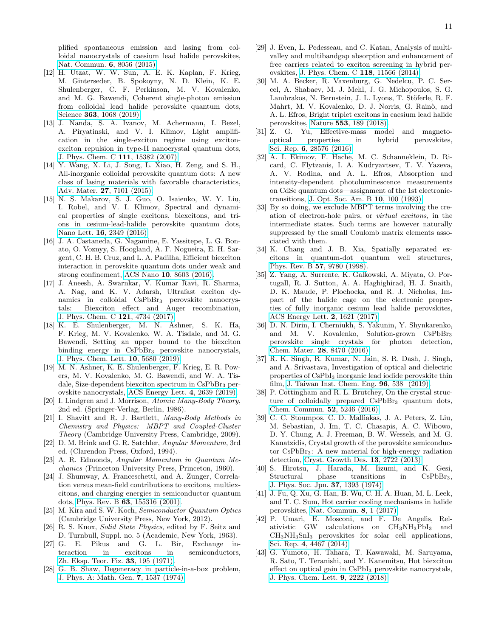plified spontaneous emission and lasing from colloidal nanocrystals of caesium lead halide perovskites, [Nat. Commun.](https://doi.org/10.1038/ncomms9056) 6, 8056 (2015).

- <span id="page-10-0"></span>[12] H. Utzat, W. W. Sun, A. E. K. Kaplan, F. Krieg, M. Ginterseder, B. Spokoyny, N. D. Klein, K. E. Shulenberger, C. F. Perkinson, M. V. Kovalenko, and M. G. Bawendi, Coherent single-photon emission from colloidal lead halide perovskite quantum dots, Science 363[, 1068 \(2019\).](https://doi.org/10.1126/science.aau7392)
- <span id="page-10-1"></span>[13] J. Nanda, S. A. Ivanov, M. Achermann, I. Bezel, A. Piryatinski, and V. I. Klimov, Light amplification in the single-exciton regime using excitonexciton repulsion in type-II nanocrystal quantum dots, [J. Phys. Chem. C](https://doi.org/10.1021/jp0738659) 111, 15382 (2007).
- <span id="page-10-2"></span>[14] Y. Wang, X. Li, J. Song, L. Xiao, H. Zeng, and S. H., All-inorganic colloidal perovskite quantum dots: A new class of lasing materials with favorable characteristics, Adv. Mater. 27[, 7101 \(2015\).](https://onlinelibrary.wiley.com/doi/abs/10.1002/adma.201503573)
- <span id="page-10-29"></span>[15] N. S. Makarov, S. J. Guo, O. Isaienko, W. Y. Liu, I. Robel, and V. I. Klimov, Spectral and dynamical properties of single excitons, biexcitons, and trions in cesium-lead-halide perovskite quantum dots, Nano Lett. 16[, 2349 \(2016\).](https://doi.org/10.1021/acs.nanolett.5b05077)
- <span id="page-10-4"></span>[16] J. A. Castaneda, G. Nagamine, E. Yassitepe, L. G. Bonato, O. Voznyy, S. Hoogland, A. F. Nogueira, E. H. Sargent, C. H. B. Cruz, and L. A. Padilha, Efficient biexciton interaction in perovskite quantum dots under weak and strong confinement, ACS Nano 10[, 8603 \(2016\).](https://doi.org/10.1021/acsnano.6b03908)
- <span id="page-10-28"></span>[17] J. Aneesh, A. Swarnkar, V. Kumar Ravi, R. Sharma, A. Nag, and K. V. Adarsh, Ultrafast exciton dynamics in colloidal CsPbBr<sup>3</sup> perovskite nanocrystals: Biexciton effect and Auger recombination, [J. Phys. Chem. C](https://doi.org/10.1021/acs.jpcc.7b00762) 121, 4734 (2017).
- <span id="page-10-30"></span>[18] K. E. Shulenberger, M. N. Ashner, S. K. Ha, F. Krieg, M. V. Kovalenko, W. A. Tisdale, and M. G. Bawendi, Setting an upper bound to the biexciton binding energy in CsPbBr<sub>3</sub> perovskite nanocrystals, [J. Phys. Chem. Lett.](https://doi.org/10.1021/acs.jpclett.9b02015) 10, 5680 (2019).
- <span id="page-10-3"></span>[19] M. N. Ashner, K. E. Shulenberger, F. Krieg, E. R. Powers, M. V. Kovalenko, M. G. Bawendi, and W. A. Tisdale, Size-dependent biexciton spectrum in CsPbBr<sup>3</sup> perovskite nanocrystals, [ACS Energy Lett.](https://doi.org/10.1021/acsenergylett.9b02041) 4, 2639 (2019).
- <span id="page-10-5"></span>[20] I. Lindgren and J. Morrison, *Atomic Many-Body Theory*, 2nd ed. (Springer-Verlag, Berlin, 1986).
- <span id="page-10-6"></span>[21] I. Shavitt and R. J. Bartlett, *Many-Body Methods in Chemistry and Physics: MBPT and Coupled-Cluster Theory* (Cambridge University Press, Cambridge, 2009).
- <span id="page-10-7"></span>[22] D. M. Brink and G. R. Satchler, *Angular Momentum*, 3rd ed. (Clarendon Press, Oxford, 1994).
- <span id="page-10-8"></span>[23] A. R. Edmonds, *Angular Momentum in Quantum Mechanics* (Princeton University Press, Princeton, 1960).
- <span id="page-10-9"></span>[24] J. Shumway, A. Franceschetti, and A. Zunger, Correlation versus mean-field contributions to excitons, multiexcitons, and charging energies in semiconductor quantum dots, Phys. Rev. B 63[, 155316 \(2001\).](https://link.aps.org/doi/10.1103/PhysRevB.63.155316)
- <span id="page-10-10"></span>[25] M. Kira and S. W. Koch, *Semiconductor Quantum Optics* (Cambridge University Press, New York, 2012).
- <span id="page-10-11"></span>[26] R. S. Knox, *Solid State Physics*, edited by F. Seitz and D. Turnbull, Suppl. no. 5 (Academic, New York, 1963).
- <span id="page-10-12"></span>[27] G. E. Pikus and G. L. Bir, Exchange interaction in excitons in semiconductors, [Zh. Eksp. Teor. Fiz.](http://www.jetp.ac.ru/cgi-bin/dn/e_033_01_0108) 33, 195 (1971).
- <span id="page-10-13"></span>[28] G. B. Shaw, Degeneracy in particle-in-a-box problem, [J. Phys. A: Math. Gen.](https://doi.org/10.1088/0305-4470/7/13/008) 7, 1537 (1974).
- <span id="page-10-14"></span>[29] J. Even, L. Pedesseau, and C. Katan, Analysis of multivalley and multibandgap absorption and enhancement of free carriers related to exciton screening in hybrid perovskites, [J. Phys. Chem. C](http://dx.doi.org/10.1021/jp503337a) 118, 11566 (2014).
- <span id="page-10-15"></span>[30] M. A. Becker, R. Vaxenburg, G. Nedelcu, P. C. Sercel, A. Shabaev, M. J. Mehl, J. G. Michopoulos, S. G. Lambrakos, N. Bernstein, J. L. Lyons, T. Stöferle, R. F. Mahrt, M. V. Kovalenko, D. J. Norris, G. Rainò, and A. L. Efros, Bright triplet excitons in caesium lead halide perovskites, Nature 553[, 189 \(2018\).](http://dx.doi.org/10.1038/nature25147)
- <span id="page-10-16"></span>[31] Z. G. Yu, Effective-mass model and magnetooptical properties in hybrid perovskites, Sci. Rep. 6[, 28576 \(2016\).](https://doi.org/10.1038/srep28576)
- <span id="page-10-17"></span>[32] A. I. Ekimov, F. Hache, M. C. Schanneklein, D. Ricard, C. Flytzanis, I. A. Kudryavtsev, T. V. Yazeva, A. V. Rodina, and A. L. Efros, Absorption and intensity-dependent photoluminescence measurements on CdSe quantum dots—assignment of the 1st electronictransitions, [J. Opt. Soc. Am. B](http://dx.doi.org/10.1364/JOSAB.10.000100) 10, 100 (1993).
- <span id="page-10-18"></span>[33] By so doing, we exclude MBPT terms involving the creation of electron-hole pairs, or *virtual excitons*, in the intermediate states. Such terms are however naturally suppressed by the small Coulomb matrix elements associated with them.
- <span id="page-10-22"></span>[34] K. Chang and J. B. Xia, Spatially separated excitons in quantum-dot quantum well structures, Phys. Rev. B 57[, 9780 \(1998\).](https://doi.org/10.1103/PhysRevB.57.9780)
- <span id="page-10-19"></span>[35] Z. Yang, A. Surrente, K. Galkowski, A. Miyata, O. Portugall, R. J. Sutton, A. A. Haghighirad, H. J. Snaith, D. K. Maude, P. Plochocka, and R. J. Nicholas, Impact of the halide cage on the electronic properties of fully inorganic cesium lead halide perovskites, [ACS Energy Lett.](https://doi.org/10.1021/acsenergylett.7b00416) 2, 1621 (2017).
- <span id="page-10-20"></span>[36] D. N. Dirin, I. Cherniukh, S. Yakunin, Y. Shynkarenko, and M. V. Kovalenko, Solution-grown CsPbBr<sup>3</sup> perovskite single crystals for photon detection, [Chem. Mater.](https://doi.org/10.1021/acs.chemmater.6b04298) 28, 8470 (2016).
- <span id="page-10-21"></span>[37] R. K. Singh, R. Kumar, N. Jain, S. R. Dash, J. Singh, and A. Srivastava, Investigation of optical and dielectric properties of CsPbI<sup>3</sup> inorganic lead iodide perovskite thin film, [J. Taiwan Inst. Chem. Eng.](http://www.sciencedirect.com/science/article/pii/S1876107018306059) 96, 538 (2019).
- <span id="page-10-23"></span>[38] P. Cottingham and R. L. Brutchey, On the crystal structure of colloidally prepared CsPbBr<sub>3</sub> quantum dots, [Chem. Commun.](http://dx.doi.org/10.1039/C6CC01088A) 52, 5246 (2016).
- [39] C. C. Stoumpos, C. D. Malliakas, J. A. Peters, Z. Liu, M. Sebastian, J. Im, T. C. Chasapis, A. C. Wibowo, D. Y. Chung, A. J. Freeman, B. W. Wessels, and M. G. Kanatzidis, Crystal growth of the perovskite semiconductor CsPbBr3: A new material for high-energy radiation detection, [Cryst. Growth Des.](https://doi.org/10.1021/cg400645t) 13, 2722 (2013).
- <span id="page-10-24"></span>[40] S. Hirotsu, J. Harada, M. Iizumi, and K. Gesi, Structural phase transitions in CsPbBr<sub>3</sub>, [J. Phys. Soc. Jpn.](https://doi.org/10.1143/JPSJ.37.1393) 37, 1393 (1974).
- <span id="page-10-25"></span>[41] J. Fu, Q. Xu, G. Han, B. Wu, C. H. A. Huan, M. L. Leek, and T. C. Sum, Hot carrier cooling mechanisms in halide perovskites, [Nat. Commun.](https://www.nature.com/articles/s41467-017-01360-3) 8, 1 (2017).
- <span id="page-10-26"></span>[42] P. Umari, E. Mosconi, and F. De Angelis, Relativistic GW calculations on CH3NH3PbI<sup>3</sup> and CH3NH3SnI<sup>3</sup> perovskites for solar cell applications, Sci. Rep. 4[, 4467 \(2014\).](https://doi.org/10.1038/srep04467)
- <span id="page-10-27"></span>[43] G. Yumoto, H. Tahara, T. Kawawaki, M. Saruyama, R. Sato, T. Teranishi, and Y. Kanemitsu, Hot biexciton effect on optical gain in CsPbI<sub>3</sub> perovskite nanocrystals, [J. Phys. Chem. Lett.](https://doi.org/10.1021/acs.jpclett.8b01029) 9, 2222 (2018).